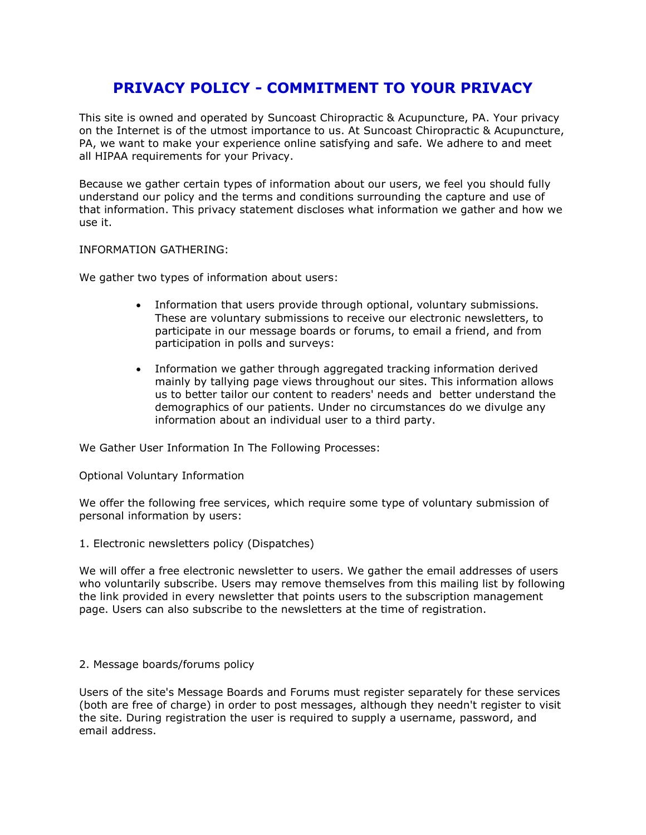# **PRIVACY POLICY - COMMITMENT TO YOUR PRIVACY**

This site is owned and operated by Suncoast Chiropractic & Acupuncture, PA. Your privacy on the Internet is of the utmost importance to us. At Suncoast Chiropractic & Acupuncture, PA, we want to make your experience online satisfying and safe. We adhere to and meet all HIPAA requirements for your Privacy.

Because we gather certain types of information about our users, we feel you should fully understand our policy and the terms and conditions surrounding the capture and use of that information. This privacy statement discloses what information we gather and how we use it.

INFORMATION GATHERING:

We gather two types of information about users:

- Information that users provide through optional, voluntary submissions. These are voluntary submissions to receive our electronic newsletters, to participate in our message boards or forums, to email a friend, and from participation in polls and surveys:
- Information we gather through aggregated tracking information derived mainly by tallying page views throughout our sites. This information allows us to better tailor our content to readers' needs and better understand the demographics of our patients. Under no circumstances do we divulge any information about an individual user to a third party.

We Gather User Information In The Following Processes:

Optional Voluntary Information

We offer the following free services, which require some type of voluntary submission of personal information by users:

1. Electronic newsletters policy (Dispatches)

We will offer a free electronic newsletter to users. We gather the email addresses of users who voluntarily subscribe. Users may remove themselves from this mailing list by following the link provided in every newsletter that points users to the subscription management page. Users can also subscribe to the newsletters at the time of registration.

2. Message boards/forums policy

Users of the site's Message Boards and Forums must register separately for these services (both are free of charge) in order to post messages, although they needn't register to visit the site. During registration the user is required to supply a username, password, and email address.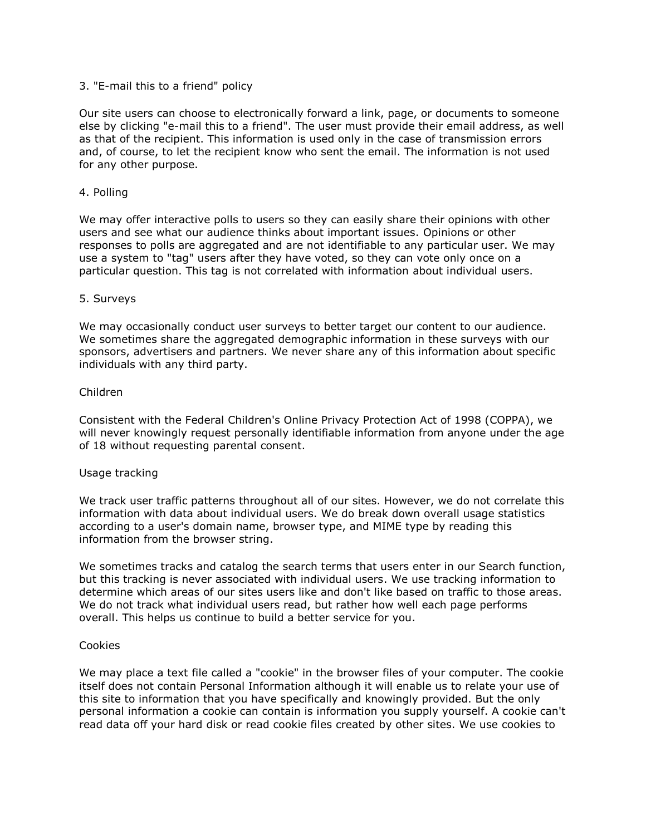## 3. "E-mail this to a friend" policy

Our site users can choose to electronically forward a link, page, or documents to someone else by clicking "e-mail this to a friend". The user must provide their email address, as well as that of the recipient. This information is used only in the case of transmission errors and, of course, to let the recipient know who sent the email. The information is not used for any other purpose.

## 4. Polling

We may offer interactive polls to users so they can easily share their opinions with other users and see what our audience thinks about important issues. Opinions or other responses to polls are aggregated and are not identifiable to any particular user. We may use a system to "tag" users after they have voted, so they can vote only once on a particular question. This tag is not correlated with information about individual users.

## 5. Surveys

We may occasionally conduct user surveys to better target our content to our audience. We sometimes share the aggregated demographic information in these surveys with our sponsors, advertisers and partners. We never share any of this information about specific individuals with any third party.

## Children

Consistent with the Federal Children's Online Privacy Protection Act of 1998 (COPPA), we will never knowingly request personally identifiable information from anyone under the age of 18 without requesting parental consent.

#### Usage tracking

We track user traffic patterns throughout all of our sites. However, we do not correlate this information with data about individual users. We do break down overall usage statistics according to a user's domain name, browser type, and MIME type by reading this information from the browser string.

We sometimes tracks and catalog the search terms that users enter in our Search function, but this tracking is never associated with individual users. We use tracking information to determine which areas of our sites users like and don't like based on traffic to those areas. We do not track what individual users read, but rather how well each page performs overall. This helps us continue to build a better service for you.

#### Cookies

We may place a text file called a "cookie" in the browser files of your computer. The cookie itself does not contain Personal Information although it will enable us to relate your use of this site to information that you have specifically and knowingly provided. But the only personal information a cookie can contain is information you supply yourself. A cookie can't read data off your hard disk or read cookie files created by other sites. We use cookies to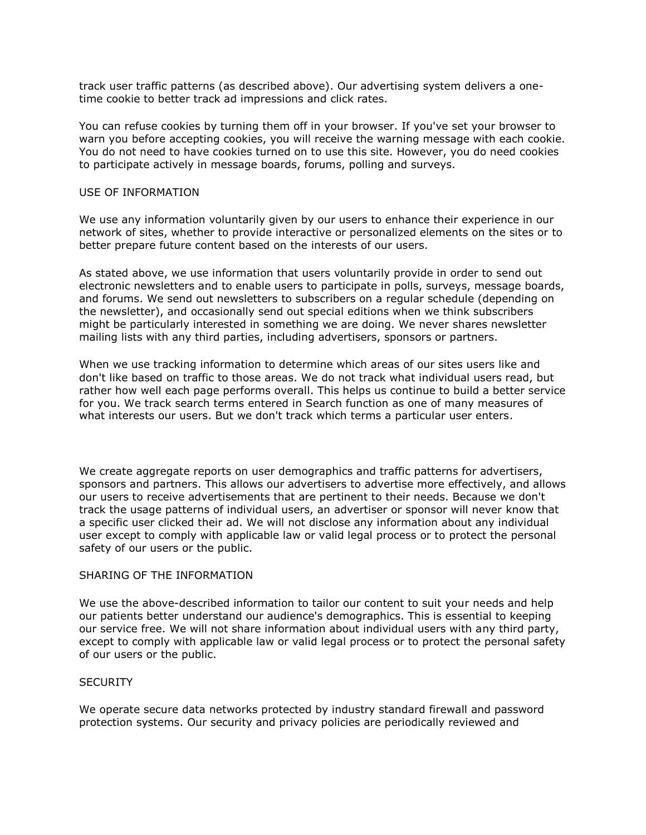track user traffic patterns (as described above). Our advertising system delivers a onetime cookie to better track ad impressions and click rates.

You can refuse cookies by turning them off in your browser. If you've set your browser to warn you before accepting cookies, you will receive the warning message with each cookie. You do not need to have cookies turned on to use this site. However, you do need cookies to participate actively in message boards, forums, polling and surveys.

#### USE OF INFORMATION

We use any information voluntarily given by our users to enhance their experience in our network of sites, whether to provide interactive or personalized elements on the sites or to better prepare future content based on the interests of our users.

As stated above, we use information that users voluntarily provide in order to send out electronic newsletters and to enable users to participate in polls, surveys, message boards, and forums. We send out newsletters to subscribers on a regular schedule (depending on the newsletter), and occasionally send out special editions when we think subscribers might be particularly interested in something we are doing. We never shares newsletter mailing lists with any third parties, including advertisers, sponsors or partners.

When we use tracking information to determine which areas of our sites users like and don't like based on traffic to those areas. We do not track what individual users read, but rather how well each page performs overall. This helps us continue to build a better service for you. We track search terms entered in Search function as one of many measures of what interests our users. But we don't track which terms a particular user enters.

We create aggregate reports on user demographics and traffic patterns for advertisers, sponsors and partners. This allows our advertisers to advertise more effectively, and allows our users to receive advertisements that are pertinent to their needs. Because we don't track the usage patterns of individual users, an advertiser or sponsor will never know that a specific user clicked their ad. We will not disclose any information about any individual user except to comply with applicable law or valid legal process or to protect the personal safety of our users or the public.

#### SHARING OF THE INFORMATION

We use the above-described information to tailor our content to suit your needs and help our patients better understand our audience's demographics. This is essential to keeping our service free. We will not share information about individual users with any third party, except to comply with applicable law or valid legal process or to protect the personal safety of our users or the public.

#### **SECURITY**

We operate secure data networks protected by industry standard firewall and password protection systems. Our security and privacy policies are periodically reviewed and